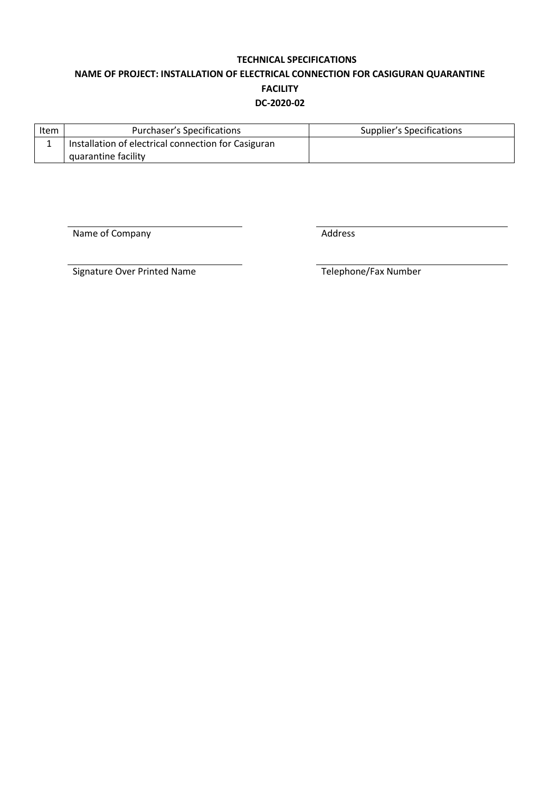# **TECHNICAL SPECIFICATIONS NAME OF PROJECT: INSTALLATION OF ELECTRICAL CONNECTION FOR CASIGURAN QUARANTINE FACILITY DC-2020-02**

| Item | Purchaser's Specifications                          | Supplier's Specifications |
|------|-----------------------------------------------------|---------------------------|
|      | Installation of electrical connection for Casiguran |                           |
|      | quarantine facility                                 |                           |

Name of Company and Table 2012 and Table 2013

Signature Over Printed Name Telephone/Fax Number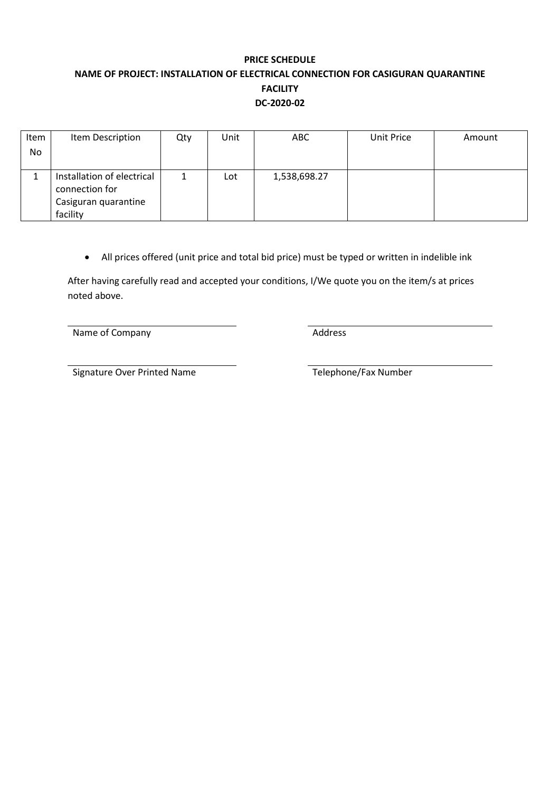# **PRICE SCHEDULE NAME OF PROJECT: INSTALLATION OF ELECTRICAL CONNECTION FOR CASIGURAN QUARANTINE FACILITY DC-2020-02**

| Item      | Item Description           | Qty | Unit | <b>ABC</b>   | Unit Price | Amount |
|-----------|----------------------------|-----|------|--------------|------------|--------|
| <b>No</b> |                            |     |      |              |            |        |
|           |                            |     |      |              |            |        |
|           | Installation of electrical | 1   | Lot  | 1,538,698.27 |            |        |
|           | connection for             |     |      |              |            |        |
|           | Casiguran quarantine       |     |      |              |            |        |
|           | facility                   |     |      |              |            |        |

• All prices offered (unit price and total bid price) must be typed or written in indelible ink

After having carefully read and accepted your conditions, I/We quote you on the item/s at prices noted above.

Name of Company **Address** Address

Signature Over Printed Name Telephone/Fax Number